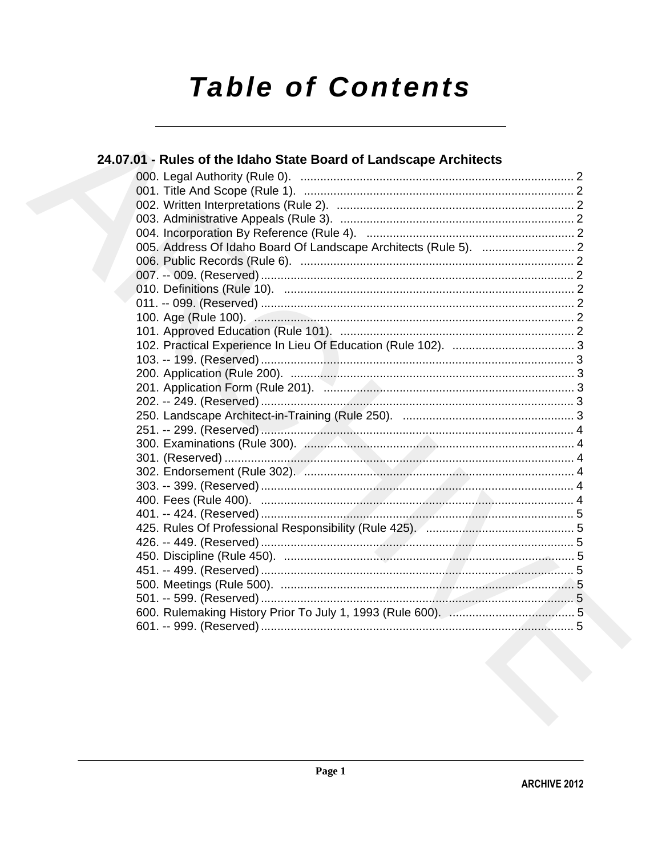# **Table of Contents**

| 24.07.01 - Rules of the Idaho State Board of Landscape Architects |  |
|-------------------------------------------------------------------|--|
|                                                                   |  |
|                                                                   |  |
|                                                                   |  |
|                                                                   |  |
|                                                                   |  |
|                                                                   |  |
|                                                                   |  |
|                                                                   |  |
|                                                                   |  |
|                                                                   |  |
|                                                                   |  |
|                                                                   |  |
|                                                                   |  |
|                                                                   |  |
|                                                                   |  |
|                                                                   |  |
|                                                                   |  |
|                                                                   |  |
|                                                                   |  |
|                                                                   |  |
|                                                                   |  |
|                                                                   |  |
|                                                                   |  |
|                                                                   |  |
|                                                                   |  |
|                                                                   |  |
|                                                                   |  |
|                                                                   |  |
|                                                                   |  |
|                                                                   |  |
|                                                                   |  |
|                                                                   |  |
|                                                                   |  |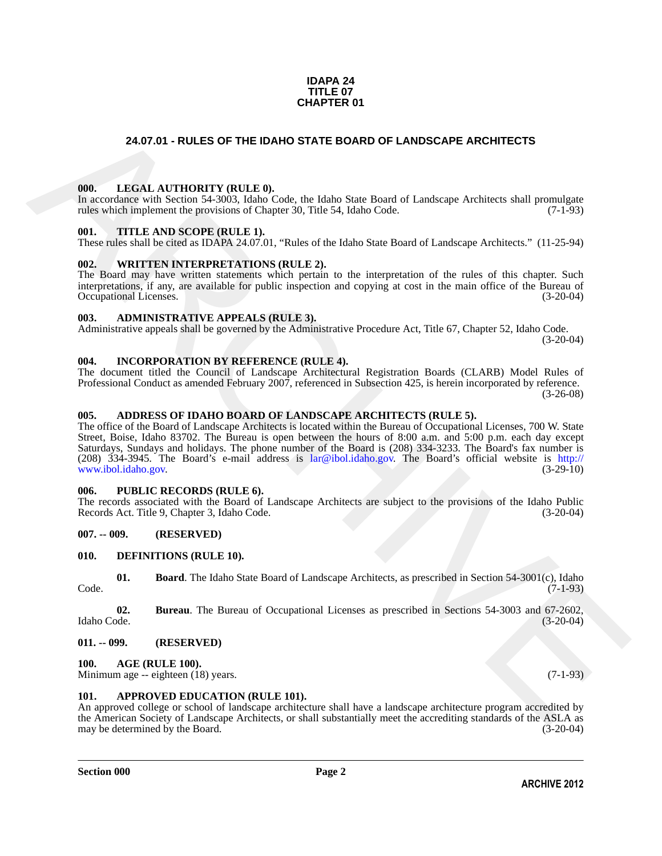#### **IDAPA 24 TITLE 07 CHAPTER 01**

#### <span id="page-1-0"></span>**24.07.01 - RULES OF THE IDAHO STATE BOARD OF LANDSCAPE ARCHITECTS**

#### <span id="page-1-1"></span>**000. LEGAL AUTHORITY (RULE 0).**

In accordance with Section 54-3003, Idaho Code, the Idaho State Board of Landscape Architects shall promulgate rules which implement the provisions of Chapter 30, Title 54, Idaho Code. (7-1-93)

#### <span id="page-1-2"></span>**001. TITLE AND SCOPE (RULE 1).**

These rules shall be cited as IDAPA 24.07.01, "Rules of the Idaho State Board of Landscape Architects." (11-25-94)

#### <span id="page-1-3"></span>**002. WRITTEN INTERPRETATIONS (RULE 2).**

The Board may have written statements which pertain to the interpretation of the rules of this chapter. Such interpretations, if any, are available for public inspection and copying at cost in the main office of the Bureau of Occupational Licenses. (3-20-04) Occupational Licenses.

#### <span id="page-1-4"></span>**003. ADMINISTRATIVE APPEALS (RULE 3).**

Administrative appeals shall be governed by the Administrative Procedure Act, Title 67, Chapter 52, Idaho Code. (3-20-04)

#### <span id="page-1-5"></span>**004. INCORPORATION BY REFERENCE (RULE 4).**

The document titled the Council of Landscape Architectural Registration Boards (CLARB) Model Rules of Professional Conduct as amended February 2007, referenced in Subsection 425, is herein incorporated by reference. (3-26-08)

#### <span id="page-1-6"></span>**005. ADDRESS OF IDAHO BOARD OF LANDSCAPE ARCHITECTS (RULE 5).**

**24.07.01 - RULES OF THE IDAHO STATE BOARD OF LANDSCAPE AR[CH](mailto:lar@ibol.idaho.gov)ITECTS<br>
100.** LEGAL AITHORITY (RITLE),  $\omega_{\text{ph}}$  be labor Sur Bend of Landscape Architects Sull promptor<br>
In accordance with many contributed in the contributio The office of the Board of Landscape Architects is located within the Bureau of Occupational Licenses, 700 W. State Street, Boise, Idaho 83702. The Bureau is open between the hours of 8:00 a.m. and 5:00 p.m. each day except Saturdays, Sundays and holidays. The phone number of the Board is (208) 334-3233. The Board's fax number is (208) 334-3945. The Board's e-mail address is lar@ibol.idaho.gov. The Board's official website is http:// www.ibol.idaho.gov. (3-29-10)

#### <span id="page-1-7"></span>**006. PUBLIC RECORDS (RULE 6).**

The records associated with the Board of Landscape Architects are subject to the provisions of the Idaho Public Records Act. Title 9, Chapter 3, Idaho Code. (3-20-04)

#### <span id="page-1-8"></span>**007. -- 009. (RESERVED)**

#### <span id="page-1-15"></span><span id="page-1-9"></span>**010. DEFINITIONS (RULE 10).**

<span id="page-1-16"></span>**01. Board**. The Idaho State Board of Landscape Architects, as prescribed in Section 54-3001(c), Idaho (7-1-93) Code. (7-1-93)

<span id="page-1-17"></span>**02.** Bureau. The Bureau of Occupational Licenses as prescribed in Sections 54-3003 and 67-2602, Idaho Code. (3-20-04) Idaho Code. (3-20-04)

#### <span id="page-1-10"></span>**011. -- 099. (RESERVED)**

#### <span id="page-1-13"></span><span id="page-1-11"></span>**100. AGE (RULE 100).**

Minimum age -- eighteen (18) years. (7-1-93)

#### <span id="page-1-14"></span><span id="page-1-12"></span>**101. APPROVED EDUCATION (RULE 101).**

An approved college or school of landscape architecture shall have a landscape architecture program accredited by the American Society of Landscape Architects, or shall substantially meet the accrediting standards of the ASLA as may be determined by the Board. (3-20-04) may be determined by the Board.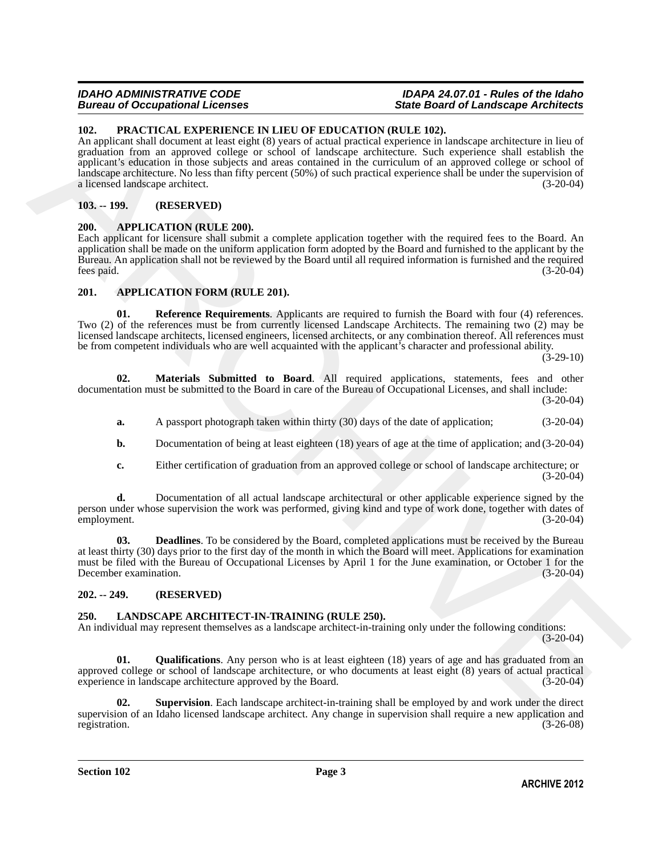#### *IDAHO ADMINISTRATIVE CODE IDAPA 24.07.01 - Rules of the Idaho* **State Board of Landscape Architects**

#### <span id="page-2-14"></span><span id="page-2-0"></span>**102. PRACTICAL EXPERIENCE IN LIEU OF EDUCATION (RULE 102).**

10. **PACTICAL EXPERIENCES** IN LIET OF **FOURATION** (MET. PLOT CHICATION) (C. 2) the consideration in the state of the state of the state of the state of the state of the state of the state of the state of the state of the An applicant shall document at least eight (8) years of actual practical experience in landscape architecture in lieu of graduation from an approved college or school of landscape architecture. Such experience shall establish the applicant's education in those subjects and areas contained in the curriculum of an approved college or school of landscape architecture. No less than fifty percent (50%) of such practical experience shall be under the supervision of a licensed landscape architect. (3-20-04)

#### <span id="page-2-1"></span>**103. -- 199. (RESERVED)**

#### <span id="page-2-6"></span><span id="page-2-2"></span>**200. APPLICATION (RULE 200).**

Each applicant for licensure shall submit a complete application together with the required fees to the Board. An application shall be made on the uniform application form adopted by the Board and furnished to the applicant by the Bureau. An application shall not be reviewed by the Board until all required information is furnished and the required fees paid. (3-20-04)

#### <span id="page-2-7"></span><span id="page-2-3"></span>**201. APPLICATION FORM (RULE 201).**

<span id="page-2-10"></span>**01. Reference Requirements**. Applicants are required to furnish the Board with four (4) references. Two (2) of the references must be from currently licensed Landscape Architects. The remaining two (2) may be licensed landscape architects, licensed engineers, licensed architects, or any combination thereof. All references must be from competent individuals who are well acquainted with the applicant's character and professional ability.

 $(3-29-10)$ 

**02. Materials Submitted to Board**. All required applications, statements, fees and other documentation must be submitted to the Board in care of the Bureau of Occupational Licenses, and shall include: (3-20-04)

- <span id="page-2-9"></span>**a.** A passport photograph taken within thirty (30) days of the date of application; (3-20-04)
- **b.** Documentation of being at least eighteen (18) years of age at the time of application; and (3-20-04)
- <span id="page-2-8"></span>**c.** Either certification of graduation from an approved college or school of landscape architecture; or (3-20-04)

**d.** Documentation of all actual landscape architectural or other applicable experience signed by the person under whose supervision the work was performed, giving kind and type of work done, together with dates of employment. (3-20-04) employment. (3-20-04)

**03. Deadlines**. To be considered by the Board, completed applications must be received by the Bureau at least thirty (30) days prior to the first day of the month in which the Board will meet. Applications for examination must be filed with the Bureau of Occupational Licenses by April 1 for the June examination, or October 1 for the December examination. (3-20-04)

#### <span id="page-2-4"></span>**202. -- 249. (RESERVED)**

#### <span id="page-2-11"></span><span id="page-2-5"></span>**250. LANDSCAPE ARCHITECT-IN-TRAINING (RULE 250).**

An individual may represent themselves as a landscape architect-in-training only under the following conditions:

 $(3-20-04)$ 

<span id="page-2-12"></span>**01. Qualifications**. Any person who is at least eighteen (18) years of age and has graduated from an approved college or school of landscape architecture, or who documents at least eight (8) years of actual practical experience in landscape architecture approved by the Board. (3-20-04)

<span id="page-2-13"></span>**02. Supervision**. Each landscape architect-in-training shall be employed by and work under the direct supervision of an Idaho licensed landscape architect. Any change in supervision shall require a new application and registration. (3-26-08) registration. (3-26-08)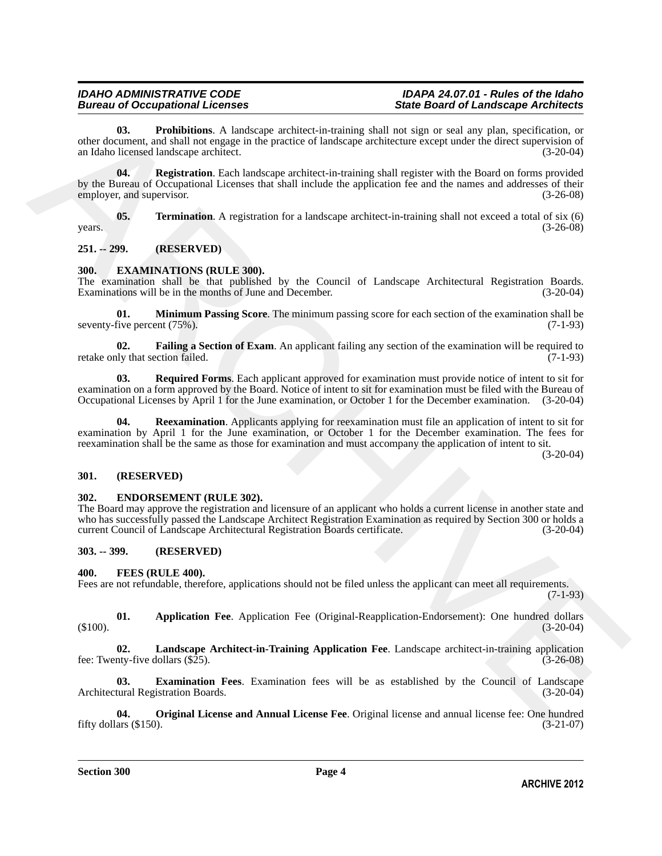## **Bureau of Occupational Licenses**

<span id="page-3-18"></span><span id="page-3-17"></span>**03. Prohibitions**. A landscape architect-in-training shall not sign or seal any plan, specification, or other document, and shall not engage in the practice of landscape architecture except under the direct supervision of an Idaho licensed landscape architect. (3-20-04)

OL Consideration A indetegrate interdependent and significant experiment and the set of the consideration and the set of the set of the set of the set of the set of the set of the set of the set of the set of the set of t **04.** Registration. Each landscape architect-in-training shall register with the Board on forms provided by the Bureau of Occupational Licenses that shall include the application fee and the names and addresses of their employer, and supervisor. (3-26-08) employer, and supervisor.

<span id="page-3-19"></span>**05. Termination**. A registration for a landscape architect-in-training shall not exceed a total of six (6)  $years.$  (3-26-08)

#### <span id="page-3-0"></span>**251. -- 299. (RESERVED)**

#### <span id="page-3-7"></span><span id="page-3-1"></span>**300. EXAMINATIONS (RULE 300).**

The examination shall be that published by the Council of Landscape Architectural Registration Boards. Examinations will be in the months of June and December. (3-20-04)

<span id="page-3-9"></span>**01. Minimum Passing Score**. The minimum passing score for each section of the examination shall be seventy-five percent (75%). (7-1-93)

<span id="page-3-8"></span>**02. Failing a Section of Exam**. An applicant failing any section of the examination will be required to ly that section failed. (7-1-93) retake only that section failed.

<span id="page-3-11"></span>**03. Required Forms**. Each applicant approved for examination must provide notice of intent to sit for examination on a form approved by the Board. Notice of intent to sit for examination must be filed with the Bureau of Occupational Licenses by April 1 for the June examination, or October 1 for the December examination. (3-20-04)

<span id="page-3-10"></span>**Reexamination**. Applicants applying for reexamination must file an application of intent to sit for examination by April 1 for the June examination, or October 1 for the December examination. The fees for reexamination shall be the same as those for examination and must accompany the application of intent to sit.

(3-20-04)

#### <span id="page-3-2"></span>**301. (RESERVED)**

#### <span id="page-3-6"></span><span id="page-3-3"></span>**302. ENDORSEMENT (RULE 302).**

The Board may approve the registration and licensure of an applicant who holds a current license in another state and who has successfully passed the Landscape Architect Registration Examination as required by Section 300 or holds a current Council of Landscape Architectural Registration Boards certificate. (3-20-04) current Council of Landscape Architectural Registration Boards certificate.

#### <span id="page-3-4"></span>**303. -- 399. (RESERVED)**

#### <span id="page-3-12"></span><span id="page-3-5"></span>**400. FEES (RULE 400).**

Fees are not refundable, therefore, applications should not be filed unless the applicant can meet all requirements.

(7-1-93)

<span id="page-3-13"></span>**01. Application Fee**. Application Fee (Original-Reapplication-Endorsement): One hundred dollars  $(3-20-04)$ 

<span id="page-3-15"></span>**02. Landscape Architect-in-Training Application Fee**. Landscape architect-in-training application fee: Twenty-five dollars  $(\$25)$ .

<span id="page-3-14"></span>**03. Examination Fees**. Examination fees will be as established by the Council of Landscape Architectural Registration Boards.

<span id="page-3-16"></span>**04. Original License and Annual License Fee**. Original license and annual license fee: One hundred fifty dollars  $(\$150)$ .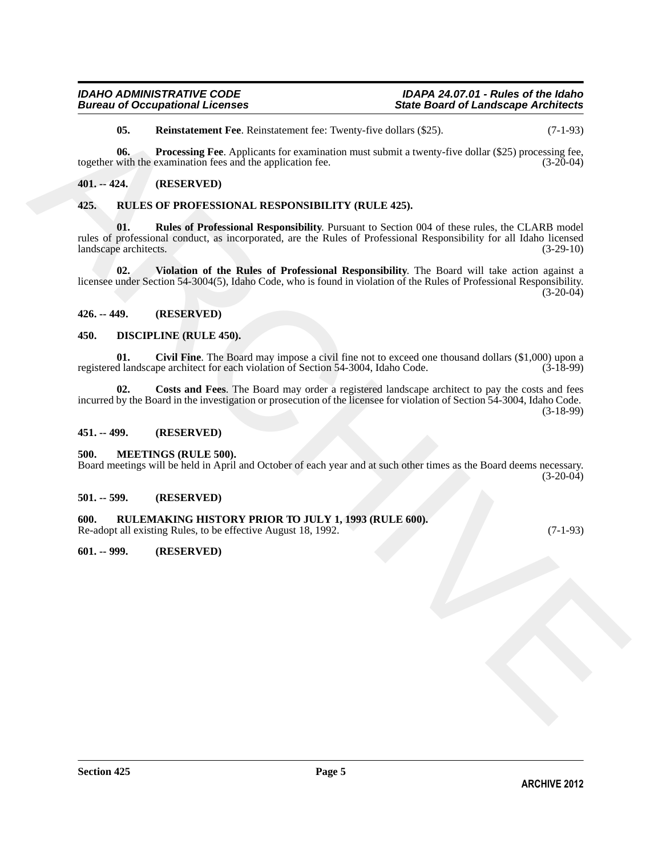<span id="page-4-13"></span><span id="page-4-12"></span>**05.** Reinstatement Fee. Reinstatement fee: Twenty-five dollars (\$25). (7-1-93)

**06. Processing Fee**. Applicants for examination must submit a twenty-five dollar (\$25) processing fee, with the examination fees and the application fee. (3-20-04) together with the examination fees and the application fee.

#### <span id="page-4-0"></span>**401. -- 424. (RESERVED)**

#### <span id="page-4-16"></span><span id="page-4-15"></span><span id="page-4-1"></span>**425. RULES OF PROFESSIONAL RESPONSIBILITY (RULE 425).**

65. Reinstatement For Reinstatement for Twonsy-five dollar (125)<br>
Months of Processing For Application For examination for each adduct (525) processing For<br>
16. **(EXSERVED)**<br>
16. **(EXSERVED)**<br>
16. **(EXSERVED)**<br>
16. **ARCES 01. Rules of Professional Responsibility**. Pursuant to Section 004 of these rules, the CLARB model rules of professional conduct, as incorporated, are the Rules of Professional Responsibility for all Idaho licensed landscape architects. (3-29-10) landscape architects.

<span id="page-4-17"></span>**02. Violation of the Rules of Professional Responsibility**. The Board will take action against a licensee under Section 54-3004(5), Idaho Code, who is found in violation of the Rules of Professional Responsibility. (3-20-04)

#### <span id="page-4-2"></span>**426. -- 449. (RESERVED)**

#### <span id="page-4-9"></span><span id="page-4-3"></span>**450. DISCIPLINE (RULE 450).**

<span id="page-4-10"></span>**01.** Civil Fine. The Board may impose a civil fine not to exceed one thousand dollars (\$1,000) upon a d landscape architect for each violation of Section 54-3004, Idaho Code. (3-18-99) registered landscape architect for each violation of Section 54-3004, Idaho Code.

<span id="page-4-11"></span>**02. Costs and Fees**. The Board may order a registered landscape architect to pay the costs and fees incurred by the Board in the investigation or prosecution of the licensee for violation of Section 54-3004, Idaho Code. (3-18-99)

#### <span id="page-4-4"></span>**451. -- 499. (RESERVED)**

#### <span id="page-4-14"></span><span id="page-4-5"></span>**500. MEETINGS (RULE 500).**

Board meetings will be held in April and October of each year and at such other times as the Board deems necessary. (3-20-04)

#### <span id="page-4-6"></span>**501. -- 599. (RESERVED)**

#### <span id="page-4-7"></span>**600. RULEMAKING HISTORY PRIOR TO JULY 1, 1993 (RULE 600).**

Re-adopt all existing Rules, to be effective August 18, 1992. (7-1-93)

#### <span id="page-4-8"></span>**601. -- 999. (RESERVED)**